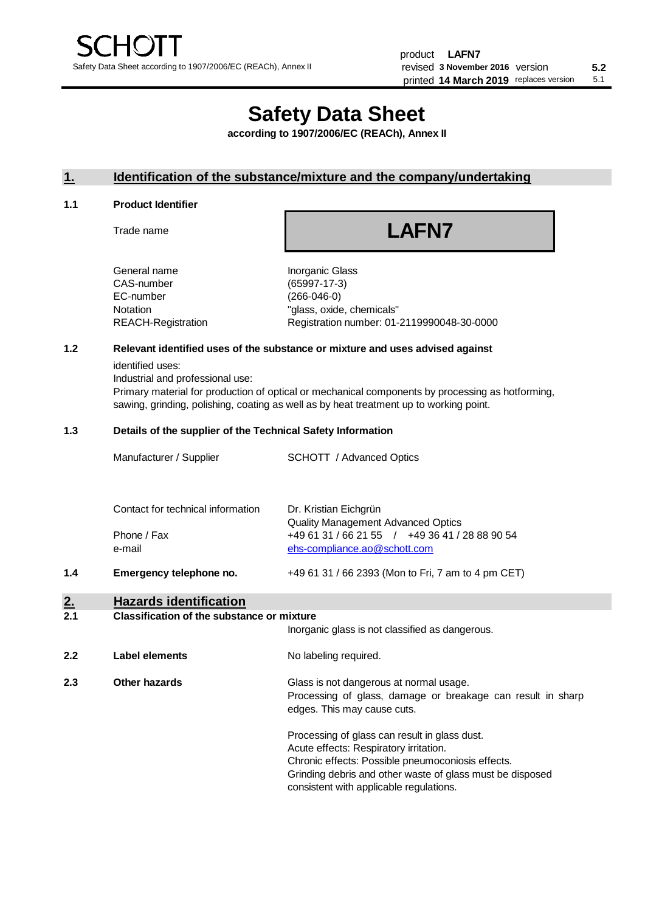# **Safety Data Sheet**

**according to 1907/2006/EC (REACh), Annex II**

## **1. Identification of the substance/mixture and the company/undertaking**

#### **1.1 Product Identifier**

Trade name

# **LAFN7**

| General name       |  |
|--------------------|--|
| CAS-number         |  |
| EC-number          |  |
| Notation           |  |
| REACH-Registration |  |
|                    |  |

Inorganic Glass (65997-17-3)  $(266-046-0)$ "glass, oxide, chemicals" Registration number: 01-2119990048-30-0000

## **1.2 Relevant identified uses of the substance or mixture and uses advised against**

identified uses:

Industrial and professional use:

Primary material for production of optical or mechanical components by processing as hotforming, sawing, grinding, polishing, coating as well as by heat treatment up to working point.

#### **1.3 Details of the supplier of the Technical Safety Information**

| 1.4 | Emergency telephone no.           | +49 61 31 / 66 2393 (Mon to Fri, 7 am to 4 pm CET)                                          |
|-----|-----------------------------------|---------------------------------------------------------------------------------------------|
|     | e-mail                            | ehs-compliance.ao@schott.com                                                                |
|     | Phone / Fax                       | <b>Quality Management Advanced Optics</b><br>+49 61 31 / 66 21 55 / +49 36 41 / 28 88 90 54 |
|     | Contact for technical information | Dr. Kristian Eichgrün                                                                       |
|     | Manufacturer / Supplier           | <b>SCHOTT</b> / Advanced Optics                                                             |

# **2. Hazards identification**

#### **2.1 Classification of the substance or mixture**

|     |                | Inorganic glass is not classified as dangerous.                                                                                                                                                                                                      |
|-----|----------------|------------------------------------------------------------------------------------------------------------------------------------------------------------------------------------------------------------------------------------------------------|
| 2.2 | Label elements | No labeling required.                                                                                                                                                                                                                                |
| 2.3 | Other hazards  | Glass is not dangerous at normal usage.<br>Processing of glass, damage or breakage can result in sharp<br>edges. This may cause cuts.                                                                                                                |
|     |                | Processing of glass can result in glass dust.<br>Acute effects: Respiratory irritation.<br>Chronic effects: Possible pneumoconiosis effects.<br>Grinding debris and other waste of glass must be disposed<br>consistent with applicable regulations. |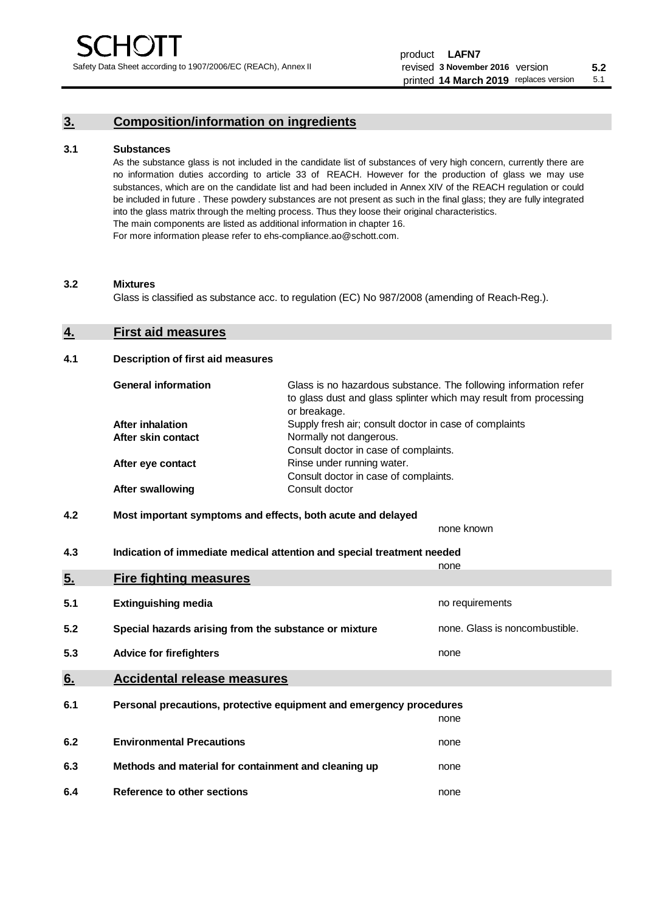## **3. Composition/information on ingredients**

#### **3.1 Substances**

As the substance glass is not included in the candidate list of substances of very high concern, currently there are no information duties according to article 33 of REACH. However for the production of glass we may use substances, which are on the candidate list and had been included in Annex XIV of the REACH regulation or could be included in future . These powdery substances are not present as such in the final glass; they are fully integrated into the glass matrix through the melting process. Thus they loose their original characteristics. The main components are listed as additional information in chapter 16. For more information please refer to ehs-compliance.ao@schott.com.

#### **3.2 Mixtures**

Glass is classified as substance acc. to regulation (EC) No 987/2008 (amending of Reach-Reg.).

#### **4. First aid measures**

#### **4.1 Description of first aid measures**

| <b>General information</b> | Glass is no hazardous substance. The following information refer<br>to glass dust and glass splinter which may result from processing<br>or breakage. |
|----------------------------|-------------------------------------------------------------------------------------------------------------------------------------------------------|
| <b>After inhalation</b>    | Supply fresh air; consult doctor in case of complaints                                                                                                |
| After skin contact         | Normally not dangerous.                                                                                                                               |
|                            | Consult doctor in case of complaints.                                                                                                                 |
| After eye contact          | Rinse under running water.                                                                                                                            |
|                            | Consult doctor in case of complaints.                                                                                                                 |
| <b>After swallowing</b>    | Consult doctor                                                                                                                                        |

## **4.2 Most important symptoms and effects, both acute and delayed**

none known **4.3 Indication of immediate medical attention and special treatment needed** 

|     |                                                                     | none                           |  |  |  |
|-----|---------------------------------------------------------------------|--------------------------------|--|--|--|
| 5.  | <b>Fire fighting measures</b>                                       |                                |  |  |  |
| 5.1 | <b>Extinguishing media</b>                                          | no requirements                |  |  |  |
| 5.2 | Special hazards arising from the substance or mixture               | none. Glass is noncombustible. |  |  |  |
| 5.3 | <b>Advice for firefighters</b>                                      | none                           |  |  |  |
| 6.  | <b>Accidental release measures</b>                                  |                                |  |  |  |
| 6.1 | Personal precautions, protective equipment and emergency procedures |                                |  |  |  |
|     |                                                                     | none                           |  |  |  |
| 6.2 | <b>Environmental Precautions</b>                                    | none                           |  |  |  |
| 6.3 | Methods and material for containment and cleaning up                | none                           |  |  |  |
| 6.4 | Reference to other sections                                         | none                           |  |  |  |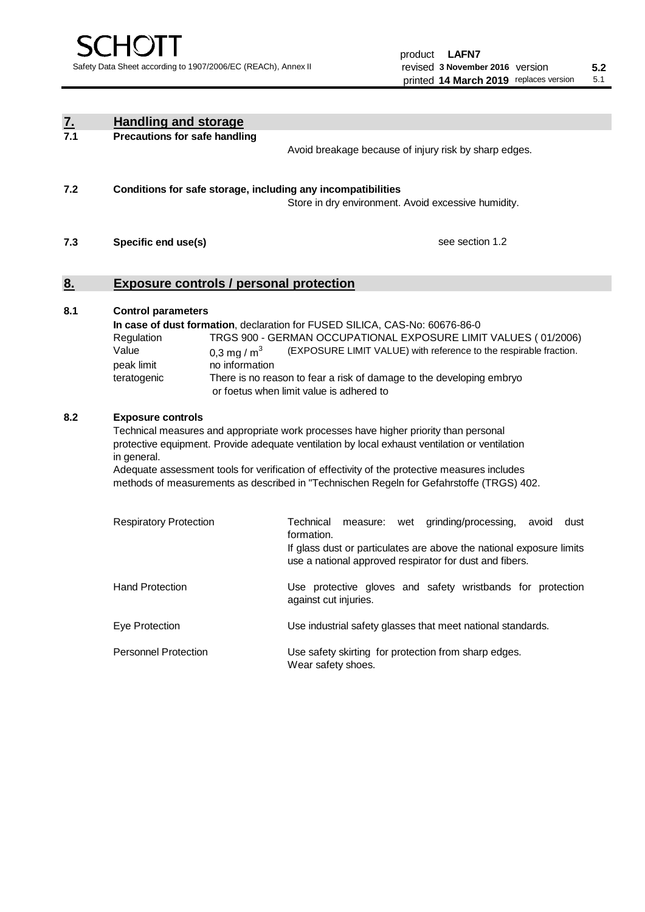| $\underline{\mathbf{7}}$ . | <b>Handling and storage</b>                                                                                                                                                                                                                                                                                                                                                                                                    |                                                                                                                                                                                                                                                                                                                                        |  |  |  |  |
|----------------------------|--------------------------------------------------------------------------------------------------------------------------------------------------------------------------------------------------------------------------------------------------------------------------------------------------------------------------------------------------------------------------------------------------------------------------------|----------------------------------------------------------------------------------------------------------------------------------------------------------------------------------------------------------------------------------------------------------------------------------------------------------------------------------------|--|--|--|--|
| 7.1                        | <b>Precautions for safe handling</b><br>Avoid breakage because of injury risk by sharp edges.                                                                                                                                                                                                                                                                                                                                  |                                                                                                                                                                                                                                                                                                                                        |  |  |  |  |
| 7.2                        | Conditions for safe storage, including any incompatibilities                                                                                                                                                                                                                                                                                                                                                                   | Store in dry environment. Avoid excessive humidity.                                                                                                                                                                                                                                                                                    |  |  |  |  |
| 7.3                        | Specific end use(s)                                                                                                                                                                                                                                                                                                                                                                                                            | see section 1.2                                                                                                                                                                                                                                                                                                                        |  |  |  |  |
| 8.                         | <b>Exposure controls / personal protection</b>                                                                                                                                                                                                                                                                                                                                                                                 |                                                                                                                                                                                                                                                                                                                                        |  |  |  |  |
| 8.1                        | <b>Control parameters</b><br>Regulation<br>Value<br>0,3 mg / $m3$<br>peak limit<br>no information<br>teratogenic                                                                                                                                                                                                                                                                                                               | In case of dust formation, declaration for FUSED SILICA, CAS-No: 60676-86-0<br>TRGS 900 - GERMAN OCCUPATIONAL EXPOSURE LIMIT VALUES (01/2006)<br>(EXPOSURE LIMIT VALUE) with reference to the respirable fraction.<br>There is no reason to fear a risk of damage to the developing embryo<br>or foetus when limit value is adhered to |  |  |  |  |
| 8.2                        | <b>Exposure controls</b><br>Technical measures and appropriate work processes have higher priority than personal<br>protective equipment. Provide adequate ventilation by local exhaust ventilation or ventilation<br>in general.<br>Adequate assessment tools for verification of effectivity of the protective measures includes<br>methods of measurements as described in "Technischen Regeln for Gefahrstoffe (TRGS) 402. |                                                                                                                                                                                                                                                                                                                                        |  |  |  |  |
|                            | <b>Respiratory Protection</b>                                                                                                                                                                                                                                                                                                                                                                                                  | Technical<br>grinding/processing,<br>measure:<br>wet<br>avoid<br>dust<br>formation.<br>If glass dust or particulates are above the national exposure limits<br>use a national approved respirator for dust and fibers.                                                                                                                 |  |  |  |  |
|                            | <b>Hand Protection</b>                                                                                                                                                                                                                                                                                                                                                                                                         | Use protective gloves and safety wristbands for protection<br>against cut injuries.                                                                                                                                                                                                                                                    |  |  |  |  |
|                            | Eye Protection                                                                                                                                                                                                                                                                                                                                                                                                                 | Use industrial safety glasses that meet national standards.                                                                                                                                                                                                                                                                            |  |  |  |  |
|                            | <b>Personnel Protection</b>                                                                                                                                                                                                                                                                                                                                                                                                    | Use safety skirting for protection from sharp edges.<br>Wear safety shoes.                                                                                                                                                                                                                                                             |  |  |  |  |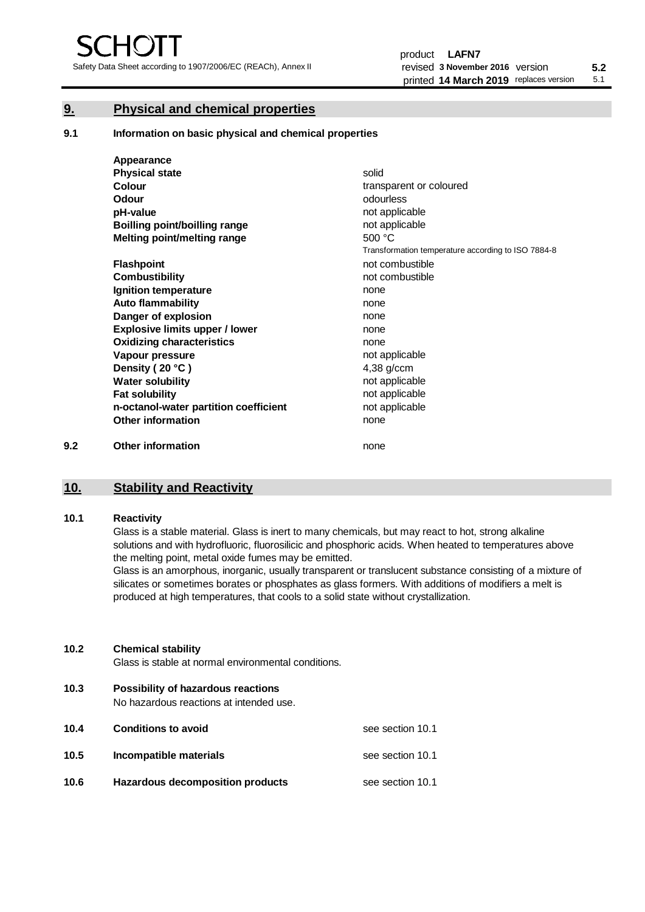## **9. Physical and chemical properties**

**9.1 Information on basic physical and chemical properties**

|     | Appearance                            |                                                    |
|-----|---------------------------------------|----------------------------------------------------|
|     | <b>Physical state</b>                 | solid                                              |
|     | <b>Colour</b>                         | transparent or coloured                            |
|     | Odour                                 | odourless                                          |
|     | pH-value                              | not applicable                                     |
|     | <b>Boilling point/boilling range</b>  | not applicable                                     |
|     | Melting point/melting range           | 500 °C                                             |
|     |                                       | Transformation temperature according to ISO 7884-8 |
|     | <b>Flashpoint</b>                     | not combustible                                    |
|     | <b>Combustibility</b>                 | not combustible                                    |
|     | Ignition temperature                  | none                                               |
|     | <b>Auto flammability</b>              | none                                               |
|     | Danger of explosion                   | none                                               |
|     | <b>Explosive limits upper / lower</b> | none                                               |
|     | <b>Oxidizing characteristics</b>      | none                                               |
|     | Vapour pressure                       | not applicable                                     |
|     | Density (20 °C)                       | $4,38$ g/ccm                                       |
|     | <b>Water solubility</b>               | not applicable                                     |
|     | <b>Fat solubility</b>                 | not applicable                                     |
|     | n-octanol-water partition coefficient | not applicable                                     |
|     | <b>Other information</b>              | none                                               |
| 9.2 | <b>Other information</b>              | none                                               |

## **10. Stability and Reactivity**

#### **10.1 Reactivity**

Glass is a stable material. Glass is inert to many chemicals, but may react to hot, strong alkaline solutions and with hydrofluoric, fluorosilicic and phosphoric acids. When heated to temperatures above the melting point, metal oxide fumes may be emitted.

Glass is an amorphous, inorganic, usually transparent or translucent substance consisting of a mixture of silicates or sometimes borates or phosphates as glass formers. With additions of modifiers a melt is produced at high temperatures, that cools to a solid state without crystallization.

## **10.2 Chemical stability**

Glass is stable at normal environmental conditions.

**10.3 Possibility of hazardous reactions** 

No hazardous reactions at intended use.

| 10.4 | <b>Conditions to avoid</b>       | see section 10.1 |
|------|----------------------------------|------------------|
| 10.5 | Incompatible materials           | see section 10.1 |
| 10.6 | Hazardous decomposition products | see section 10.1 |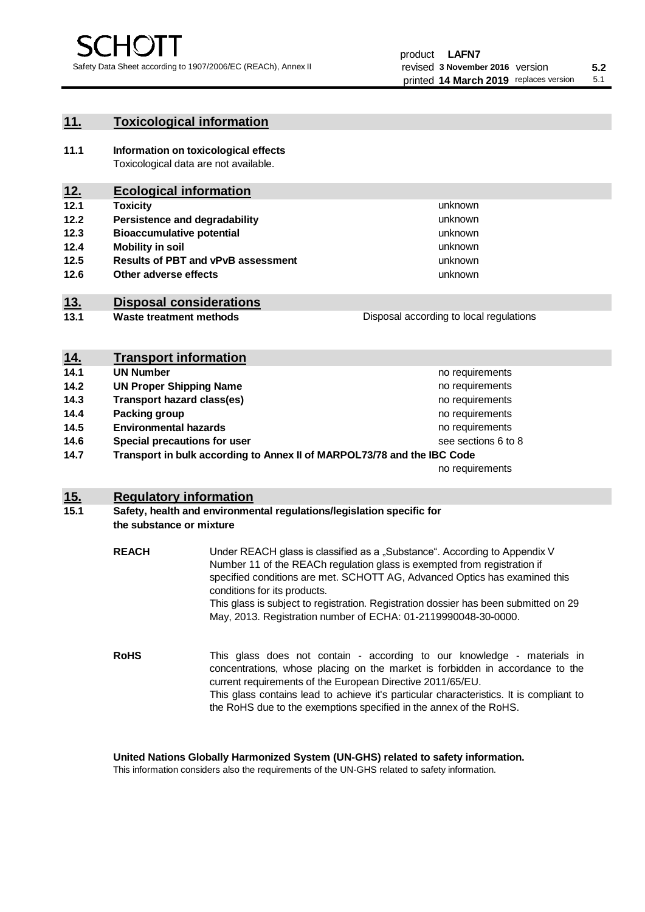## **11. Toxicological information**

**11.1 Information on toxicological effects** Toxicological data are not available.

## **12. Ecological information**

- **12.1 Toxicity**
- **12.2 Persistence and degradability**
- **12.3 Bioaccumulative potential**
- **12.4 Mobility in soil**
- **12.5 Results of PBT and vPvB assessment**
- **12.6 Other adverse effects**

## **13. Disposal considerations**

**13.1 Waste treatment methods**

| <u>14.</u> | <b>Transport information</b>                                             |                     |
|------------|--------------------------------------------------------------------------|---------------------|
| 14.1       | <b>UN Number</b>                                                         | no requirements     |
| 14.2       | <b>UN Proper Shipping Name</b>                                           | no requirements     |
| 14.3       | <b>Transport hazard class(es)</b>                                        | no requirements     |
| 14.4       | Packing group                                                            | no requirements     |
| 14.5       | <b>Environmental hazards</b>                                             | no requirements     |
| 14.6       | Special precautions for user                                             | see sections 6 to 8 |
| 117        | Transport in bulk according to Annoy II of MADDOI 72/79 and the IBC Code |                     |

**14.7 Transport in bulk according to Annex II of MARPOL73/78 and the IBC Code**

no requirements

unknown unknown unknown

unknown unknown unknown

Disposal according to local regulations

## **15. Regulatory information**

## **15.1 Safety, health and environmental regulations/legislation specific for the substance or mixture**

| <b>REACH</b> | Under REACH glass is classified as a "Substance". According to Appendix V<br>Number 11 of the REACh regulation glass is exempted from registration if<br>specified conditions are met. SCHOTT AG, Advanced Optics has examined this<br>conditions for its products.<br>This glass is subject to registration. Registration dossier has been submitted on 29<br>May, 2013. Registration number of ECHA: 01-2119990048-30-0000. |  |  |
|--------------|-------------------------------------------------------------------------------------------------------------------------------------------------------------------------------------------------------------------------------------------------------------------------------------------------------------------------------------------------------------------------------------------------------------------------------|--|--|
| <b>RoHS</b>  | This glass does not contain - according to our knowledge - materials in<br>concentrations, whose placing on the market is forbidden in accordance to the<br>current requirements of the European Directive 2011/65/EU.<br>This glass contains lead to achieve it's particular characteristics. It is compliant to<br>the RoHS due to the exemptions specified in the annex of the RoHS.                                       |  |  |

#### **United Nations Globally Harmonized System (UN-GHS) related to safety information.**

This information considers also the requirements of the UN-GHS related to safety information.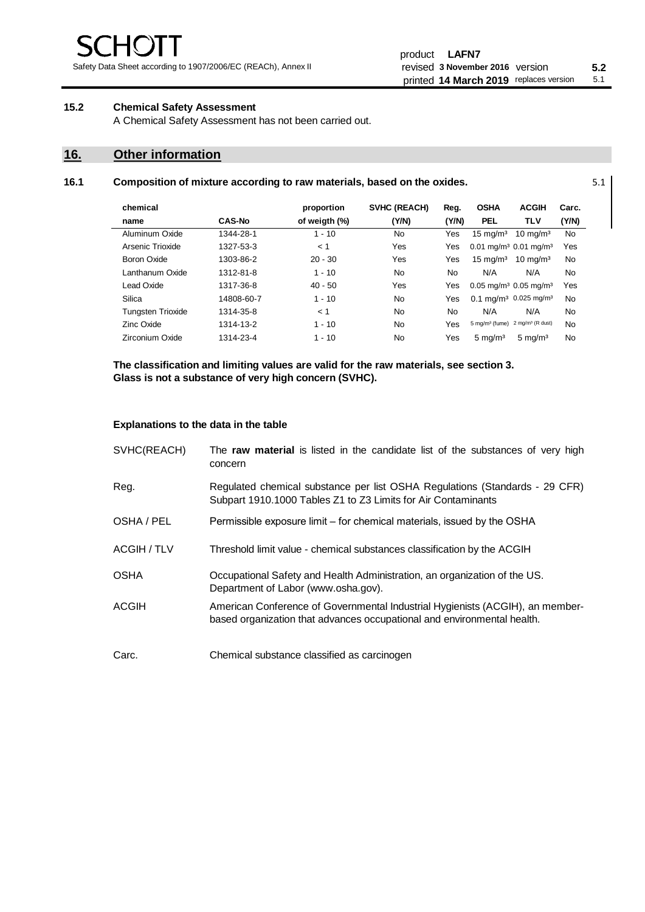## **15.2 Chemical Safety Assessment**

A Chemical Safety Assessment has not been carried out.

## **16. Other information**

| 16.1 | Composition of mixture according to raw materials, based on the oxides. | 5.1 |
|------|-------------------------------------------------------------------------|-----|
|      |                                                                         |     |

| chemical                 |               | proportion    | <b>SVHC (REACH)</b> | Reg.  | <b>OSHA</b>                                       | <b>ACGIH</b>                                 | Carc.     |
|--------------------------|---------------|---------------|---------------------|-------|---------------------------------------------------|----------------------------------------------|-----------|
| name                     | <b>CAS-No</b> | of weigth (%) | (Y/N)               | (Y/N) | <b>PEL</b>                                        | <b>TLV</b>                                   | (Y/N)     |
| Aluminum Oxide           | 1344-28-1     | $1 - 10$      | <b>No</b>           | Yes   | $15 \text{ mg/m}^3$                               | $10 \text{ mg/m}^3$                          | <b>No</b> |
| Arsenic Trioxide         | 1327-53-3     | < 1           | Yes                 | Yes   | $0.01$ mg/m <sup>3</sup> $0.01$ mg/m <sup>3</sup> |                                              | Yes       |
| Boron Oxide              | 1303-86-2     | $20 - 30$     | Yes                 | Yes   | $15 \text{ mg/m}^3$                               | $10 \text{ ma/m}^3$                          | <b>No</b> |
| Lanthanum Oxide          | 1312-81-8     | $1 - 10$      | <b>No</b>           | No.   | N/A                                               | N/A                                          | No        |
| Lead Oxide               | 1317-36-8     | $40 - 50$     | Yes                 | Yes   | $0.05$ mg/m <sup>3</sup> 0.05 mg/m <sup>3</sup>   |                                              | Yes       |
| Silica                   | 14808-60-7    | $1 - 10$      | <b>No</b>           | Yes   |                                                   | $0.1 \text{ mq/m}^3$ 0.025 mg/m <sup>3</sup> | <b>No</b> |
| <b>Tungsten Trioxide</b> | 1314-35-8     | < 1           | <b>No</b>           | No.   | N/A                                               | N/A                                          | No        |
| Zinc Oxide               | 1314-13-2     | $1 - 10$      | No                  | Yes   | $5 \text{ mg/m}^3$ (fume)                         | 2 mg/m <sup>3</sup> (R dust)                 | No        |
| Zirconium Oxide          | 1314-23-4     | $1 - 10$      | No                  | Yes   | $5 \text{ mg/m}^3$                                | $5 \text{ mg/m}^3$                           | No        |

**The classification and limiting values are valid for the raw materials, see section 3. Glass is not a substance of very high concern (SVHC).**

#### **Explanations to the data in the table**

| SVHC(REACH) | The raw material is listed in the candidate list of the substances of very high<br>concern                                                               |  |
|-------------|----------------------------------------------------------------------------------------------------------------------------------------------------------|--|
| Reg.        | Regulated chemical substance per list OSHA Regulations (Standards - 29 CFR)<br>Subpart 1910.1000 Tables Z1 to Z3 Limits for Air Contaminants             |  |
| OSHA / PEL  | Permissible exposure limit – for chemical materials, issued by the OSHA                                                                                  |  |
| ACGIH / TLV | Threshold limit value - chemical substances classification by the ACGIH                                                                                  |  |
| <b>OSHA</b> | Occupational Safety and Health Administration, an organization of the US.<br>Department of Labor (www.osha.gov).                                         |  |
| ACGIH       | American Conference of Governmental Industrial Hygienists (ACGIH), an member-<br>based organization that advances occupational and environmental health. |  |
| Carc.       | Chemical substance classified as carcinogen                                                                                                              |  |